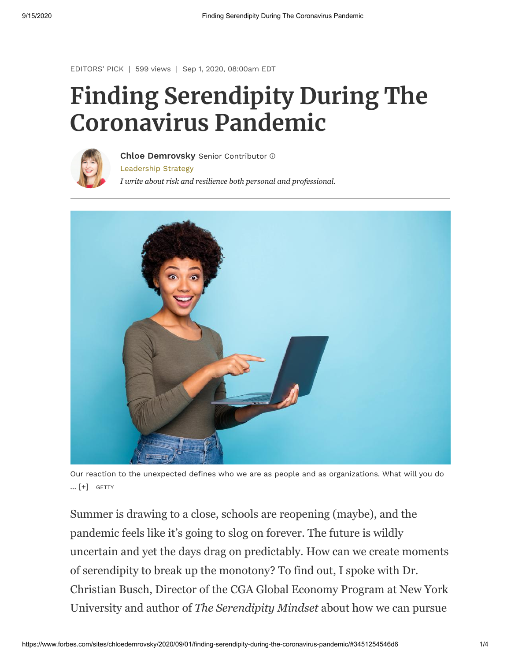[EDITORS'](https://www.forbes.com/editors-picks) PICK | 599 views | Sep 1, 2020, 08:00am EDT

## **Finding Serendipity During The Coronavirus Pandemic**



[Leadership](https://www.forbes.com/leadership-strategy) Strategy *I write about risk and resilience both personal and professional.* **Chloe [Demrovsky](https://www.forbes.com/sites/chloedemrovsky/)** Senior Contributor



Our reaction to the unexpected defines who we are as people and as organizations. What will you do ... [+] GETTY

Summer is drawing to a close, schools are reopening (maybe), and the pandemic feels like it's going to slog on forever. The future is wildly uncertain and yet the days drag on predictably. How can we create moments of serendipity to break up the monotony? To find out, I spoke with Dr. Christian Busch, Director of the CGA Global Economy Program at New York University and author of *The Serendipity Mindset* about how we can pursue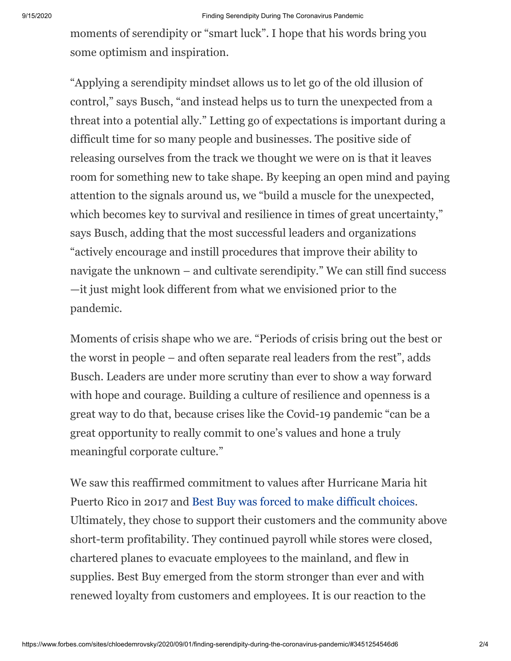moments of serendipity or "smart luck". I hope that his words bring you some optimism and inspiration.

"Applying a serendipity mindset allows us to let go of the old illusion of control," says Busch, "and instead helps us to turn the unexpected from a threat into a potential ally." Letting go of expectations is important during a difficult time for so many people and businesses. The positive side of releasing ourselves from the track we thought we were on is that it leaves room for something new to take shape. By keeping an open mind and paying attention to the signals around us, we "build a muscle for the unexpected, which becomes key to survival and resilience in times of great uncertainty," says Busch, adding that the most successful leaders and organizations "actively encourage and instill procedures that improve their ability to navigate the unknown – and cultivate serendipity." We can still find success —it just might look different from what we envisioned prior to the pandemic.

Moments of crisis shape who we are. "Periods of crisis bring out the best or the worst in people – and often separate real leaders from the rest", adds Busch. Leaders are under more scrutiny than ever to show a way forward with hope and courage. Building a culture of resilience and openness is a great way to do that, because crises like the Covid-19 pandemic "can be a great opportunity to really commit to one's values and hone a truly meaningful corporate culture."

We saw this reaffirmed commitment to values after Hurricane Maria hit Puerto Rico in 2017 and [Best Buy was forced to make difficult choices](https://www.startribune.com/best-buy-spends-750-000-helping-puerto-rico-employees-after-hurricane/464844203/). Ultimately, they chose to support their customers and the community above short-term profitability. They continued payroll while stores were closed, chartered planes to evacuate employees to the mainland, and flew in supplies. Best Buy emerged from the storm stronger than ever and with renewed loyalty from customers and employees. It is our reaction to the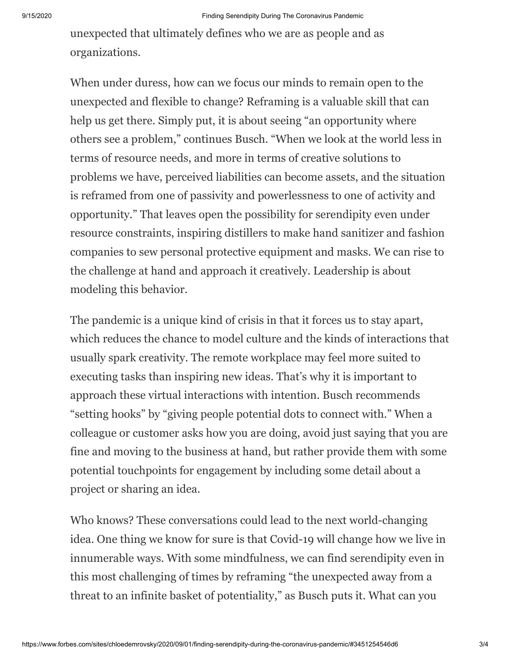unexpected that ultimately defines who we are as people and as organizations.

When under duress, how can we focus our minds to remain open to the unexpected and flexible to change? Reframing is a valuable skill that can help us get there. Simply put, it is about seeing "an opportunity where others see a problem," continues Busch. "When we look at the world less in terms of resource needs, and more in terms of creative solutions to problems we have, perceived liabilities can become assets, and the situation is reframed from one of passivity and powerlessness to one of activity and opportunity." That leaves open the possibility for serendipity even under resource constraints, inspiring distillers to make hand sanitizer and fashion companies to sew personal protective equipment and masks. We can rise to the challenge at hand and approach it creatively. Leadership is about modeling this behavior.

The pandemic is a unique kind of crisis in that it forces us to stay apart, which reduces the chance to model culture and the kinds of interactions that usually spark creativity. The remote workplace may feel more suited to executing tasks than inspiring new ideas. That's why it is important to approach these virtual interactions with intention. Busch recommends "setting hooks" by "giving people potential dots to connect with." When a colleague or customer asks how you are doing, avoid just saying that you are fine and moving to the business at hand, but rather provide them with some potential touchpoints for engagement by including some detail about a project or sharing an idea.

Who knows? These conversations could lead to the next world-changing idea. One thing we know for sure is that Covid-19 will change how we live in innumerable ways. With some mindfulness, we can find serendipity even in this most challenging of times by reframing "the unexpected away from a threat to an infinite basket of potentiality," as Busch puts it. What can you